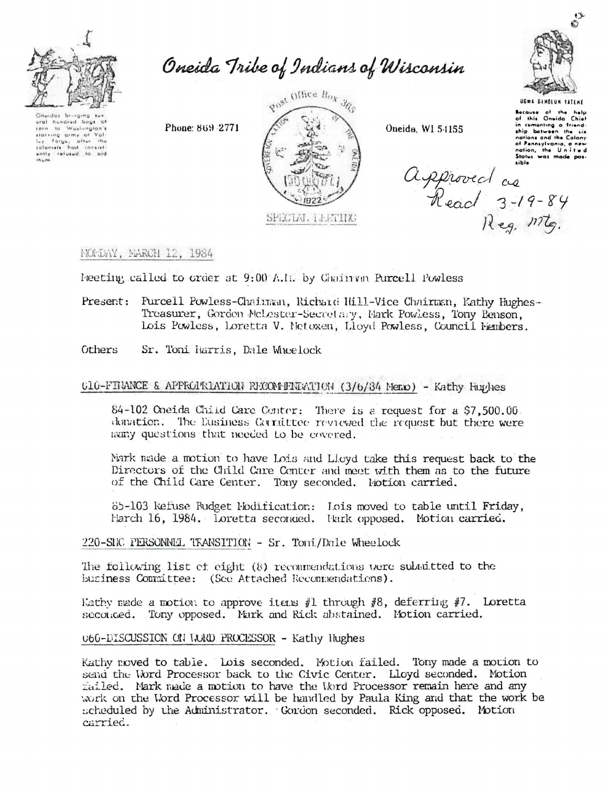

Oneida Tribe of Indians of Wisconsin

Oneidas bringing ural hundred boys of to Washington's  $i$  or  $n$ stating army of Val turing any or the<br>colonists had consist-<br>ently refused to aid colomate

Phone: 869-2771



Oneida, WI 54155



Because of the help<br>of this Oneida Chief in cumenting a friend-<br>ship between the six nations and the Colony of Pennsylvania, continued of Pennsylvania, contains and

Approved as<br>Read 3-19-84<br>Reg. mtg.

## MONDAY, MARCH 12, 1984

Neeting called to order at 9:00 A.I. by Chain an Purcell Powless

- Present: Purcell Powless-Chainman, Richard Hill-Vice Chairman, Kathy Hughes-Treasurer, Gordon McLester-Secretary, Mark Powless, Tony Benson, Lois Powless, Loretta V. Netoxen, Lloyd Powless, Council Nembers.
- Others Sr. Toni larris, Dale Wheelock

## 010-FINANCE & APPROPRIATION RECOMMENTATION (3/6/34 Memo) - Kathy Hughes

84-102 Oneida Child Care Center: There is a request for a \$7,500.00. donation. The Eusiness Corrattee reviewed the request but there were many questions that needed to be covered.

Mark made a motion to have Lois and Lloyd take this request back to the Directors of the Child Care Center and meet with them as to the future of the Child Care Center. Tony seconded. Fotion carried.

85-103 kefuse Budget Modification: Lois moved to table until Friday, March 16, 1984. Loretta seconded. Hark opposed. Motion carried.

220-SHC PERSONNEL TRANSITION - Sr. Toni/Dale Wheelock

The following list of eight (8) reconnendations were submitted to the business Committee: (See Attached Recommendations).

Kathy made a motion to approve items #1 through #8, deferring #7. Loretta seconced. Tony opposed. Mark and Rick abstained. Motion carried.

## 060-DISCUSSION ON WARD PROCESSOR - Kathy Hughes

Kathy noved to table. Lois seconded. Motion failed. Tony made a motion to send the Word Processor back to the Civic Center. Lloyd seconded. Motion failed. Mark made a motion to have the Word Processor remain here and any work on the Word Processor will be handled by Paula King and that the work be scheduled by the Administrator. Gordon seconded. Rick opposed. Motion carried.